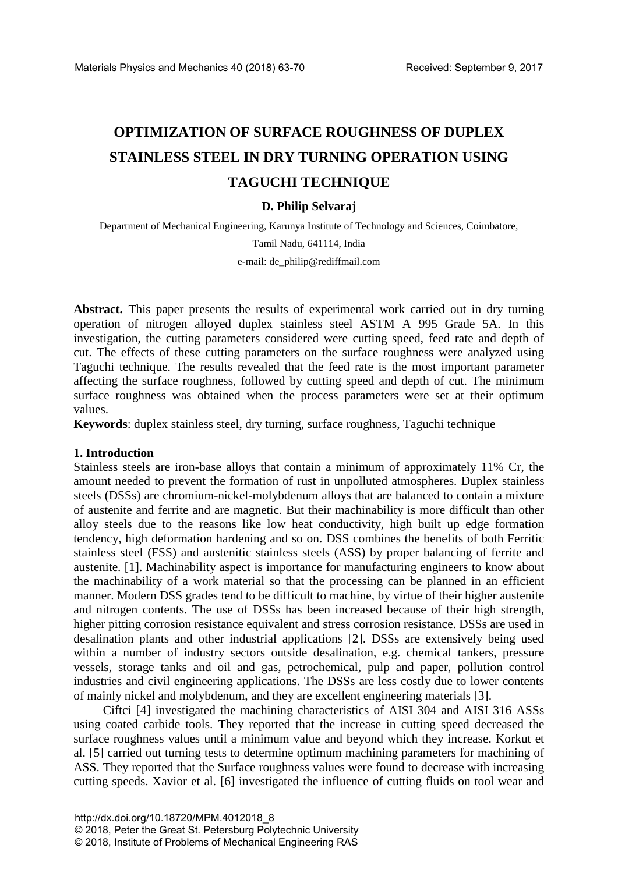# **OPTIMIZATION OF SURFACE ROUGHNESS OF DUPLEX STAINLESS STEEL IN DRY TURNING OPERATION USING TAGUCHI TECHNIQUE**

## **D. Philip Selvaraj**

Department of Mechanical Engineering, Karunya Institute of Technology and Sciences, Coimbatore,

Tamil Nadu, 641114, India

e-mail: de\_philip@rediffmail.com

**Abstract.** This paper presents the results of experimental work carried out in dry turning operation of nitrogen alloyed duplex stainless steel ASTM A 995 Grade 5A. In this investigation, the cutting parameters considered were cutting speed, feed rate and depth of cut. The effects of these cutting parameters on the surface roughness were analyzed using Taguchi technique. The results revealed that the feed rate is the most important parameter affecting the surface roughness, followed by cutting speed and depth of cut. The minimum surface roughness was obtained when the process parameters were set at their optimum values.

**Keywords**: duplex stainless steel, dry turning, surface roughness, Taguchi technique

#### **1. Introduction**

Stainless steels are iron-base alloys that contain a minimum of approximately 11% Cr, the amount needed to prevent the formation of rust in unpolluted atmospheres. Duplex stainless steels (DSSs) are chromium-nickel-molybdenum alloys that are balanced to contain a mixture of austenite and ferrite and are magnetic. But their machinability is more difficult than other alloy steels due to the reasons like low heat conductivity, high built up edge formation tendency, high deformation hardening and so on. DSS combines the benefits of both Ferritic stainless steel (FSS) and austenitic stainless steels (ASS) by proper balancing of ferrite and austenite. [1]. Machinability aspect is importance for manufacturing engineers to know about the machinability of a work material so that the processing can be planned in an efficient manner. Modern DSS grades tend to be difficult to machine, by virtue of their higher austenite and nitrogen contents. The use of DSSs has been increased because of their high strength, higher pitting corrosion resistance equivalent and stress corrosion resistance. DSSs are used in desalination plants and other industrial applications [2]. DSSs are extensively being used within a number of industry sectors outside desalination, e.g. chemical tankers, pressure vessels, storage tanks and oil and gas, petrochemical, pulp and paper, pollution control industries and civil engineering applications. The DSSs are less costly due to lower contents of mainly nickel and molybdenum, and they are excellent engineering materials [3].

Ciftci [4] investigated the machining characteristics of AISI 304 and AISI 316 ASSs using coated carbide tools. They reported that the increase in cutting speed decreased the surface roughness values until a minimum value and beyond which they increase. Korkut et al. [5] carried out turning tests to determine optimum machining parameters for machining of ASS. They reported that the Surface roughness values were found to decrease with increasing cutting speeds. Xavior et al. [6] investigated the influence of cutting fluids on tool wear and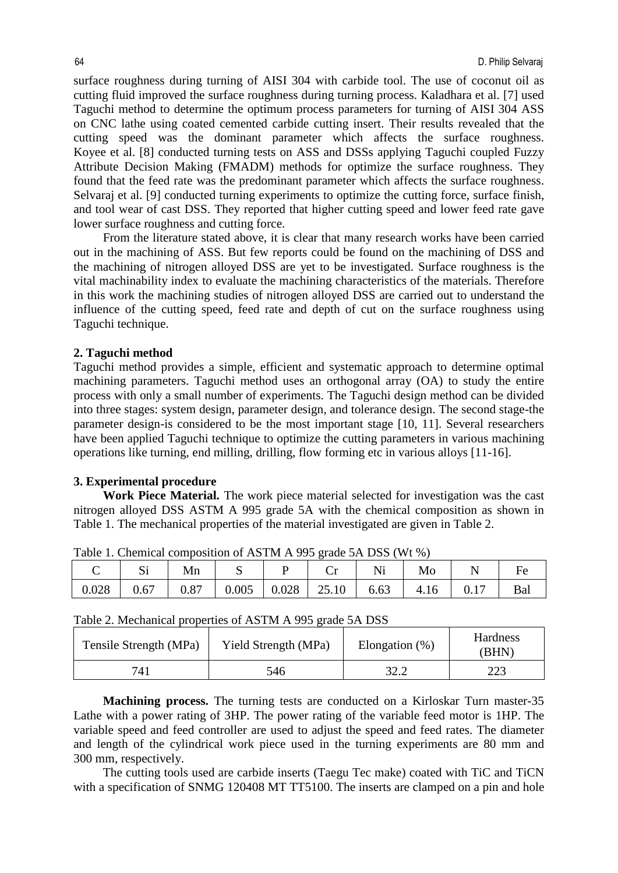surface roughness during turning of AISI 304 with carbide tool. The use of coconut oil as cutting fluid improved the surface roughness during turning process. Kaladhara et al. [7] used Taguchi method to determine the optimum process parameters for turning of AISI 304 ASS on CNC lathe using coated cemented carbide cutting insert. Their results revealed that the cutting speed was the dominant parameter which affects the surface roughness. Koyee et al. [8] conducted turning tests on ASS and DSSs applying Taguchi coupled Fuzzy Attribute Decision Making (FMADM) methods for optimize the surface roughness. They found that the feed rate was the predominant parameter which affects the surface roughness. Selvaraj et al. [9] conducted turning experiments to optimize the cutting force, surface finish, and tool wear of cast DSS. They reported that higher cutting speed and lower feed rate gave lower surface roughness and cutting force.

From the literature stated above, it is clear that many research works have been carried out in the machining of ASS. But few reports could be found on the machining of DSS and the machining of nitrogen alloyed DSS are yet to be investigated. Surface roughness is the vital machinability index to evaluate the machining characteristics of the materials. Therefore in this work the machining studies of nitrogen alloyed DSS are carried out to understand the influence of the cutting speed, feed rate and depth of cut on the surface roughness using Taguchi technique.

#### **2. Taguchi method**

Taguchi method provides a simple, efficient and systematic approach to determine optimal machining parameters. Taguchi method uses an orthogonal array (OA) to study the entire process with only a small number of experiments. The Taguchi design method can be divided into three stages: system design, parameter design, and tolerance design. The second stage-the parameter design-is considered to be the most important stage [10, 11]. Several researchers have been applied Taguchi technique to optimize the cutting parameters in various machining operations like turning, end milling, drilling, flow forming etc in various alloys [11-16].

#### **3. Experimental procedure**

**Work Piece Material.** The work piece material selected for investigation was the cast nitrogen alloyed DSS ASTM A 995 grade 5A with the chemical composition as shown in Table 1. The mechanical properties of the material investigated are given in Table 2.

|       | ນ⊥   | Mn   | ◡     |       | $\tilde{}$ |      | Mo   |     |     |
|-------|------|------|-------|-------|------------|------|------|-----|-----|
| 0.028 | 0.67 | 0.87 | 0.005 | 0.028 | 25.10      | 6.63 | 4.16 | 0.1 | Bal |

Table 1. Chemical composition of ASTM A 995 grade 5A DSS (Wt %)

|  |  | Table 2. Mechanical properties of ASTM A 995 grade 5A DSS |
|--|--|-----------------------------------------------------------|
|--|--|-----------------------------------------------------------|

| Tensile Strength (MPa) | Yield Strength (MPa) | Elongation $(\%)$ | Hardness<br>(BHN) |
|------------------------|----------------------|-------------------|-------------------|
| 741                    | 546                  | 32.2              | 223               |

**Machining process.** The turning tests are conducted on a Kirloskar Turn master-35 Lathe with a power rating of 3HP. The power rating of the variable feed motor is 1HP. The variable speed and feed controller are used to adjust the speed and feed rates. The diameter and length of the cylindrical work piece used in the turning experiments are 80 mm and 300 mm, respectively.

The cutting tools used are carbide inserts (Taegu Tec make) coated with TiC and TiCN with a specification of SNMG 120408 MT TT5100. The inserts are clamped on a pin and hole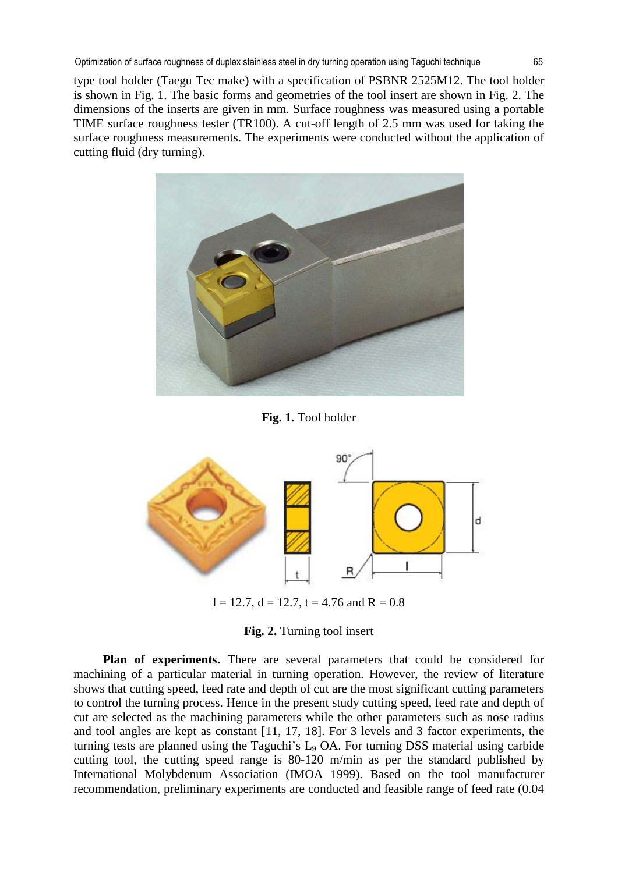Optimization of surface roughness of duplex stainless steel in dry turning operation using Taguchi technique 65

type tool holder (Taegu Tec make) with a specification of PSBNR 2525M12. The tool holder is shown in Fig. 1. The basic forms and geometries of the tool insert are shown in Fig. 2. The dimensions of the inserts are given in mm. Surface roughness was measured using a portable TIME surface roughness tester (TR100). A cut-off length of 2.5 mm was used for taking the surface roughness measurements. The experiments were conducted without the application of cutting fluid (dry turning).



**Fig. 1.** Tool holder



 $l = 12.7$ ,  $d = 12.7$ ,  $t = 4.76$  and  $R = 0.8$ 

**Fig. 2.** Turning tool insert

**Plan of experiments.** There are several parameters that could be considered for machining of a particular material in turning operation. However, the review of literature shows that cutting speed, feed rate and depth of cut are the most significant cutting parameters to control the turning process. Hence in the present study cutting speed, feed rate and depth of cut are selected as the machining parameters while the other parameters such as nose radius and tool angles are kept as constant [11, 17, 18]. For 3 levels and 3 factor experiments, the turning tests are planned using the Taguchi's L9 OA. For turning DSS material using carbide cutting tool, the cutting speed range is 80-120 m/min as per the standard published by International Molybdenum Association (IMOA 1999). Based on the tool manufacturer recommendation, preliminary experiments are conducted and feasible range of feed rate (0.04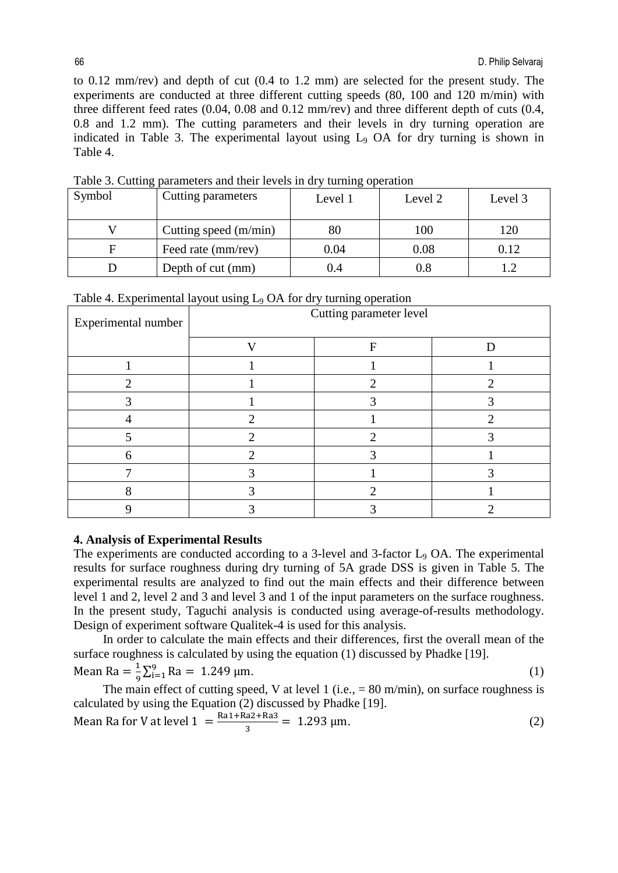to 0.12 mm/rev) and depth of cut (0.4 to 1.2 mm) are selected for the present study. The experiments are conducted at three different cutting speeds (80, 100 and 120 m/min) with three different feed rates (0.04, 0.08 and 0.12 mm/rev) and three different depth of cuts (0.4, 0.8 and 1.2 mm). The cutting parameters and their levels in dry turning operation are indicated in Table 3. The experimental layout using L9 OA for dry turning is shown in Table 4.

| Symbol | Cutting parameters    | Level 1 | Level 2 | Level 3 |
|--------|-----------------------|---------|---------|---------|
|        | Cutting speed (m/min) | 80      | 100     | 120     |
|        | Feed rate (mm/rev)    | 0.04    | 0.08    | 0.12    |
|        | Depth of cut (mm)     | 0.4     | 0.8     |         |

Table 3. Cutting parameters and their levels in dry turning operation

|                     | Table 4. Experimental layout using $L_9$ OA for dry turning operation |   |  |  |  |  |
|---------------------|-----------------------------------------------------------------------|---|--|--|--|--|
| Experimental number | Cutting parameter level                                               |   |  |  |  |  |
|                     |                                                                       | F |  |  |  |  |
|                     |                                                                       |   |  |  |  |  |
|                     |                                                                       |   |  |  |  |  |
|                     |                                                                       |   |  |  |  |  |
|                     |                                                                       |   |  |  |  |  |
|                     |                                                                       |   |  |  |  |  |
| 6                   |                                                                       |   |  |  |  |  |
|                     |                                                                       |   |  |  |  |  |
|                     |                                                                       |   |  |  |  |  |
|                     |                                                                       |   |  |  |  |  |

 $T_{\rm eff}$   $\sim$  1.1.4. Experimental layout using L<sub>9</sub> OA for dry turning operation

## **4. Analysis of Experimental Results**

The experiments are conducted according to a 3-level and 3-factor L<sub>9</sub> OA. The experimental results for surface roughness during dry turning of 5A grade DSS is given in Table 5. The experimental results are analyzed to find out the main effects and their difference between level 1 and 2, level 2 and 3 and level 3 and 1 of the input parameters on the surface roughness. In the present study, Taguchi analysis is conducted using average-of-results methodology. Design of experiment software Qualitek-4 is used for this analysis.

In order to calculate the main effects and their differences, first the overall mean of the surface roughness is calculated by using the equation (1) discussed by Phadke [19].

Mean Ra  $=\frac{1}{9}\sum_{i=1}^{9}$  Ra = 1.249 µm. (1)

The main effect of cutting speed, V at level 1 (i.e.,  $= 80$  m/min), on surface roughness is calculated by using the Equation (2) discussed by Phadke [19].

Mean Ra for V at level 
$$
1 = \frac{\text{Ra1} + \text{Ra2} + \text{Ra3}}{3} = 1.293 \,\mu\text{m}.
$$
 (2)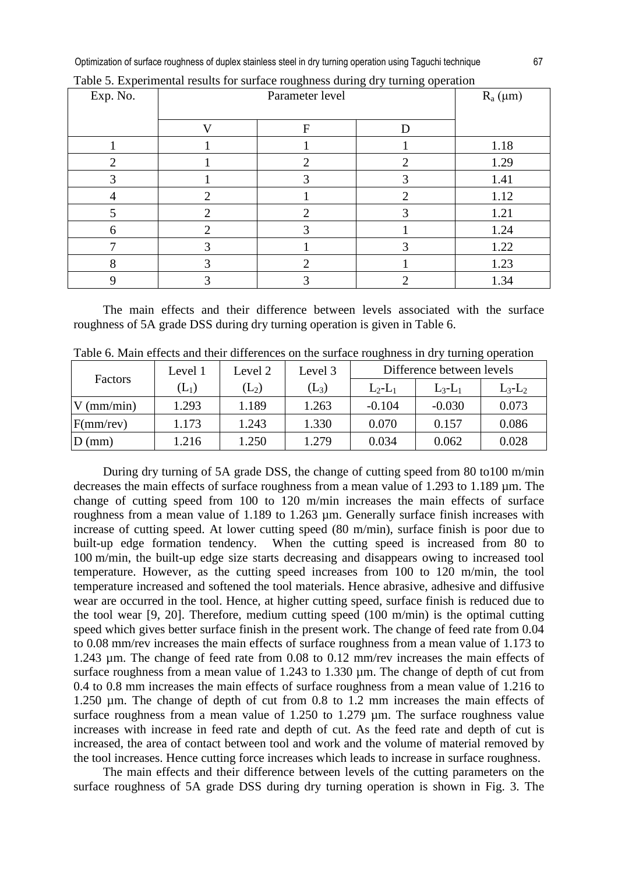Optimization of surface roughness of duplex stainless steel in dry turning operation using Taguchi technique 67

| Exp. No. |              | $R_a(\mu m)$ |   |      |
|----------|--------------|--------------|---|------|
|          | $\mathbf{V}$ |              |   |      |
|          |              | F            | D |      |
|          |              |              |   | 1.18 |
|          |              | ↑            |   | 1.29 |
|          |              |              |   | 1.41 |
|          | ∍            |              | ി | 1.12 |
|          | ◠            | 2            | 3 | 1.21 |
| 6        |              |              |   | 1.24 |
|          | 3            |              | 3 | 1.22 |
| О<br>Λ   | っ            | ∍            |   | 1.23 |
|          |              |              |   | 1.34 |

Table 5. Experimental results for surface roughness during dry turning operation

The main effects and their difference between levels associated with the surface roughness of 5A grade DSS during dry turning operation is given in Table 6.

|              | Level 1                        | Level 2          | Level 3 | Difference between levels |           |           |
|--------------|--------------------------------|------------------|---------|---------------------------|-----------|-----------|
| Factors      | $\left( \mathrm{L}_{1}\right)$ | $\mathrm{(L_2)}$ | $(L_3)$ | $L_2-L_1$                 | $L_3-L_1$ | $L_3-L_2$ |
| $V$ (mm/min) | 1.293                          | 1.189            | 1.263   | $-0.104$                  | $-0.030$  | 0.073     |
| F(mm/rev)    | 1.173                          | 1.243            | 1.330   | 0.070                     | 0.157     | 0.086     |
| $D$ (mm)     | 1.216                          | 1.250            | 1.279   | 0.034                     | 0.062     | 0.028     |

Table 6. Main effects and their differences on the surface roughness in dry turning operation

During dry turning of 5A grade DSS, the change of cutting speed from 80 to100 m/min decreases the main effects of surface roughness from a mean value of 1.293 to 1.189 µm. The change of cutting speed from 100 to 120 m/min increases the main effects of surface roughness from a mean value of 1.189 to 1.263 µm. Generally surface finish increases with increase of cutting speed. At lower cutting speed (80 m/min), surface finish is poor due to built-up edge formation tendency. When the cutting speed is increased from 80 to 100 m/min, the built-up edge size starts decreasing and disappears owing to increased tool temperature. However, as the cutting speed increases from 100 to 120 m/min, the tool temperature increased and softened the tool materials. Hence abrasive, adhesive and diffusive wear are occurred in the tool. Hence, at higher cutting speed, surface finish is reduced due to the tool wear [9, 20]. Therefore, medium cutting speed (100 m/min) is the optimal cutting speed which gives better surface finish in the present work. The change of feed rate from 0.04 to 0.08 mm/rev increases the main effects of surface roughness from a mean value of 1.173 to 1.243 µm. The change of feed rate from 0.08 to 0.12 mm/rev increases the main effects of surface roughness from a mean value of 1.243 to 1.330  $\mu$ m. The change of depth of cut from 0.4 to 0.8 mm increases the main effects of surface roughness from a mean value of 1.216 to 1.250 µm. The change of depth of cut from 0.8 to 1.2 mm increases the main effects of surface roughness from a mean value of 1.250 to 1.279  $\mu$ m. The surface roughness value increases with increase in feed rate and depth of cut. As the feed rate and depth of cut is increased, the area of contact between tool and work and the volume of material removed by the tool increases. Hence cutting force increases which leads to increase in surface roughness.

The main effects and their difference between levels of the cutting parameters on the surface roughness of 5A grade DSS during dry turning operation is shown in Fig. 3. The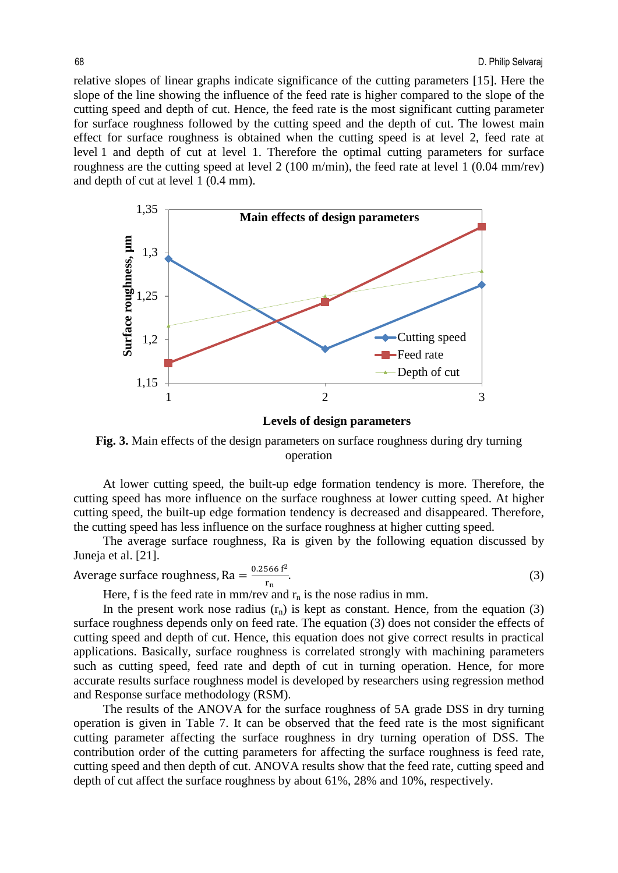relative slopes of linear graphs indicate significance of the cutting parameters [15]. Here the slope of the line showing the influence of the feed rate is higher compared to the slope of the cutting speed and depth of cut. Hence, the feed rate is the most significant cutting parameter for surface roughness followed by the cutting speed and the depth of cut. The lowest main effect for surface roughness is obtained when the cutting speed is at level 2, feed rate at level 1 and depth of cut at level 1. Therefore the optimal cutting parameters for surface roughness are the cutting speed at level 2 (100 m/min), the feed rate at level 1 (0.04 mm/rev) and depth of cut at level 1 (0.4 mm).



**Levels of design parameters**

Fig. 3. Main effects of the design parameters on surface roughness during dry turning operation

At lower cutting speed, the built-up edge formation tendency is more. Therefore, the cutting speed has more influence on the surface roughness at lower cutting speed. At higher cutting speed, the built-up edge formation tendency is decreased and disappeared. Therefore, the cutting speed has less influence on the surface roughness at higher cutting speed.

The average surface roughness, Ra is given by the following equation discussed by Juneja et al. [21].

Average surface roughness, Ra = 
$$
\frac{0.2566 \text{ f}^2}{r_n}.
$$
 (3)

Here, f is the feed rate in mm/rev and  $r_n$  is the nose radius in mm.

In the present work nose radius  $(r_n)$  is kept as constant. Hence, from the equation (3) surface roughness depends only on feed rate. The equation (3) does not consider the effects of cutting speed and depth of cut. Hence, this equation does not give correct results in practical applications. Basically, surface roughness is correlated strongly with machining parameters such as cutting speed, feed rate and depth of cut in turning operation. Hence, for more accurate results surface roughness model is developed by researchers using regression method and Response surface methodology (RSM).

The results of the ANOVA for the surface roughness of 5A grade DSS in dry turning operation is given in Table 7. It can be observed that the feed rate is the most significant cutting parameter affecting the surface roughness in dry turning operation of DSS. The contribution order of the cutting parameters for affecting the surface roughness is feed rate, cutting speed and then depth of cut. ANOVA results show that the feed rate, cutting speed and depth of cut affect the surface roughness by about 61%, 28% and 10%, respectively.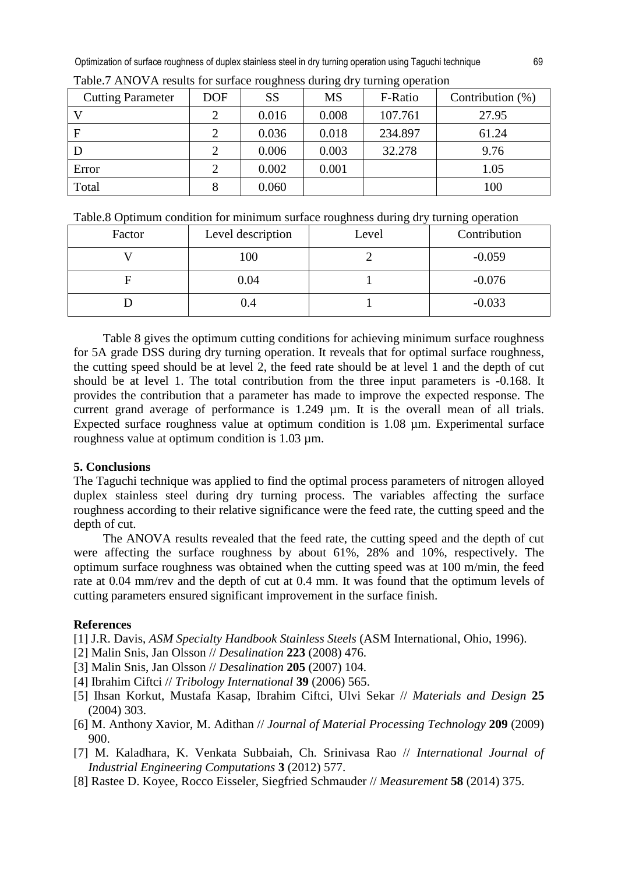Optimization of surface roughness of duplex stainless steel in dry turning operation using Taguchi technique 69

| <b>Cutting Parameter</b> | <b>DOF</b> | <b>SS</b> | <b>MS</b> | F-Ratio | Contribution $(\%)$ |
|--------------------------|------------|-----------|-----------|---------|---------------------|
|                          |            | 0.016     | 0.008     | 107.761 | 27.95               |
| F                        |            | 0.036     | 0.018     | 234.897 | 61.24               |
|                          |            | 0.006     | 0.003     | 32.278  | 9.76                |
| Error                    |            | 0.002     | 0.001     |         | 1.05                |
| Total                    |            | 0.060     |           |         | 100                 |

Table.7 ANOVA results for surface roughness during dry turning operation

|  |  | Table.8 Optimum condition for minimum surface roughness during dry turning operation |
|--|--|--------------------------------------------------------------------------------------|
|  |  |                                                                                      |

| Factor | Level description | ີ<br>Level | Contribution |
|--------|-------------------|------------|--------------|
|        | 100               |            | $-0.059$     |
|        | 0.04              |            | $-0.076$     |
|        | 0.4               |            | $-0.033$     |

Table 8 gives the optimum cutting conditions for achieving minimum surface roughness for 5A grade DSS during dry turning operation. It reveals that for optimal surface roughness, the cutting speed should be at level 2, the feed rate should be at level 1 and the depth of cut should be at level 1. The total contribution from the three input parameters is -0.168. It provides the contribution that a parameter has made to improve the expected response. The current grand average of performance is 1.249 µm. It is the overall mean of all trials. Expected surface roughness value at optimum condition is 1.08 µm. Experimental surface roughness value at optimum condition is 1.03 µm.

# **5. Conclusions**

The Taguchi technique was applied to find the optimal process parameters of nitrogen alloyed duplex stainless steel during dry turning process. The variables affecting the surface roughness according to their relative significance were the feed rate, the cutting speed and the depth of cut.

The ANOVA results revealed that the feed rate, the cutting speed and the depth of cut were affecting the surface roughness by about 61%, 28% and 10%, respectively. The optimum surface roughness was obtained when the cutting speed was at 100 m/min, the feed rate at 0.04 mm/rev and the depth of cut at 0.4 mm. It was found that the optimum levels of cutting parameters ensured significant improvement in the surface finish.

# **References**

[1] J.R. Davis, *ASM Specialty Handbook Stainless Steels* (ASM International, Ohio, 1996).

- [2] Malin Snis, Jan Olsson // *Desalination* **223** (2008) 476.
- [3] Malin Snis, Jan Olsson // *Desalination* **205** (2007) 104.
- [4] Ibrahim Ciftci // *Tribology International* **39** (2006) 565.
- [5] Ihsan Korkut, Mustafa Kasap, Ibrahim Ciftci, Ulvi Sekar // *Materials and Design* **25** (2004) 303.
- [6] M. Anthony Xavior, M. Adithan // *Journal of Material Processing Technology* **209** (2009) 900.
- [7] M. Kaladhara, K. Venkata Subbaiah, Ch. Srinivasa Rao // *International Journal of Industrial Engineering Computations* **3** (2012) 577.
- [8] Rastee D. Koyee, Rocco Eisseler, Siegfried Schmauder // *Measurement* **58** (2014) 375.